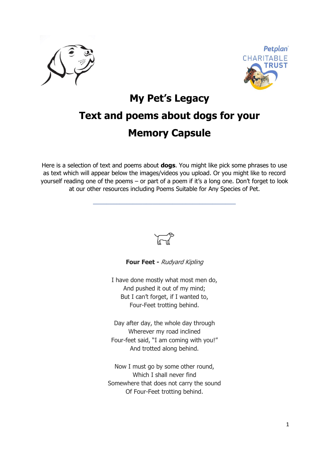



# **My Pet's Legacy Text and poems about dogs for your Memory Capsule**

Here is a selection of text and poems about **dogs**. You might like pick some phrases to use as text which will appear below the images/videos you upload. Or you might like to record yourself reading one of the poems – or part of a poem if it's a long one. Don't forget to look at our other resources including Poems Suitable for Any Species of Pet.

\_\_\_\_\_\_\_\_\_\_\_\_\_\_\_\_\_\_\_\_\_\_\_\_\_\_\_\_\_\_\_\_\_\_\_\_\_\_\_\_\_\_\_



**Four Feet -** Rudyard Kipling

I have done mostly what most men do, And pushed it out of my mind; But I can't forget, if I wanted to, Four-Feet trotting behind.

Day after day, the whole day through Wherever my road inclined Four-feet said, "I am coming with you!" And trotted along behind.

Now I must go by some other round, Which I shall never find Somewhere that does not carry the sound Of Four-Feet trotting behind.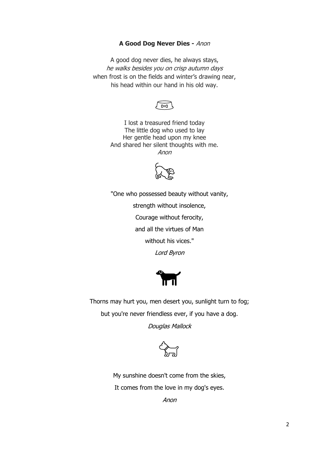# **A Good Dog Never Dies -** Anon

A good dog never dies, he always stays, he walks besides you on crisp autumn days when frost is on the fields and winter's drawing near, his head within our hand in his old way.



I lost a treasured friend today The little dog who used to lay Her gentle head upon my knee And shared her silent thoughts with me. Anon



"One who possessed beauty without vanity, strength without insolence, Courage without ferocity, and all the virtues of Man without his vices." Lord Byron



Thorns may hurt you, men desert you, sunlight turn to fog; but you're never friendless ever, if you have a dog.

Douglas Mallock



My sunshine doesn't come from the skies, It comes from the love in my dog's eyes.

Anon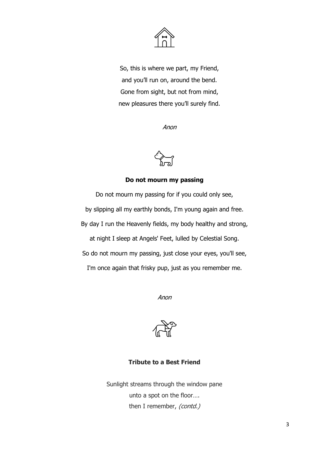

So, this is where we part, my Friend, and you'll run on, around the bend. Gone from sight, but not from mind, new pleasures there you'll surely find.

Anon



#### **Do not mourn my passing**

Do not mourn my passing for if you could only see, by slipping all my earthly bonds, I'm young again and free. By day I run the Heavenly fields, my body healthy and strong, at night I sleep at Angels' Feet, lulled by Celestial Song. So do not mourn my passing, just close your eyes, you'll see, I'm once again that frisky pup, just as you remember me.

Anon



# **Tribute to a Best Friend**

Sunlight streams through the window pane unto a spot on the floor…. then I remember, (contd.)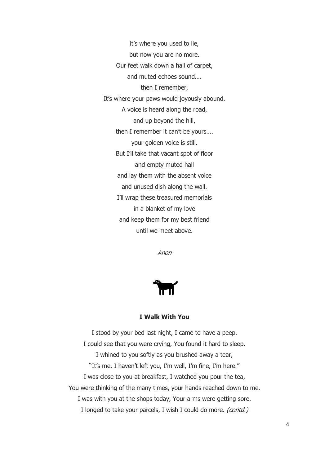it's where you used to lie, but now you are no more. Our feet walk down a hall of carpet, and muted echoes sound…. then I remember, It's where your paws would joyously abound. A voice is heard along the road, and up beyond the hill, then I remember it can't be yours…. your golden voice is still. But I'll take that vacant spot of floor and empty muted hall and lay them with the absent voice and unused dish along the wall. I'll wrap these treasured memorials in a blanket of my love and keep them for my best friend until we meet above.

Anon



## **I Walk With You**

I stood by your bed last night, I came to have a peep. I could see that you were crying, You found it hard to sleep. I whined to you softly as you brushed away a tear, "It's me, I haven't left you, I'm well, I'm fine, I'm here." I was close to you at breakfast, I watched you pour the tea, You were thinking of the many times, your hands reached down to me. I was with you at the shops today, Your arms were getting sore. I longed to take your parcels, I wish I could do more. *(contd.)*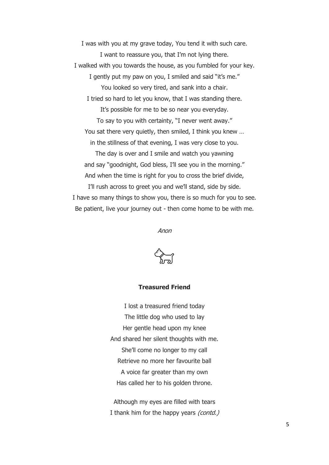I was with you at my grave today, You tend it with such care. I want to reassure you, that I'm not lying there. I walked with you towards the house, as you fumbled for your key. I gently put my paw on you, I smiled and said "it's me." You looked so very tired, and sank into a chair. I tried so hard to let you know, that I was standing there. It's possible for me to be so near you everyday. To say to you with certainty, "I never went away." You sat there very quietly, then smiled, I think you knew ... in the stillness of that evening, I was very close to you. The day is over and I smile and watch you yawning and say "goodnight, God bless, I'll see you in the morning." And when the time is right for you to cross the brief divide, I'll rush across to greet you and we'll stand, side by side. I have so many things to show you, there is so much for you to see. Be patient, live your journey out - then come home to be with me.

Anon

#### **Treasured Friend**

I lost a treasured friend today The little dog who used to lay Her gentle head upon my knee And shared her silent thoughts with me. She'll come no longer to my call Retrieve no more her favourite ball A voice far greater than my own Has called her to his golden throne.

Although my eyes are filled with tears I thank him for the happy years (contd.)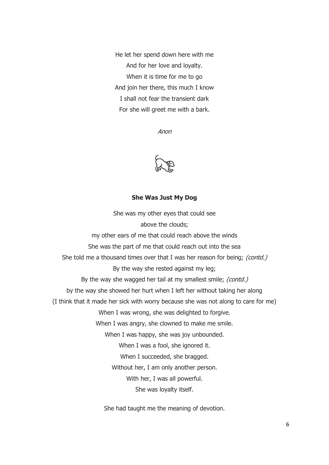He let her spend down here with me And for her love and loyalty. When it is time for me to go And join her there, this much I know I shall not fear the transient dark For she will greet me with a bark.

Anon



#### **She Was Just My Dog**

She was my other eyes that could see above the clouds; my other ears of me that could reach above the winds She was the part of me that could reach out into the sea She told me a thousand times over that I was her reason for being; (contd.) By the way she rested against my leg; By the way she wagged her tail at my smallest smile; (contd.) by the way she showed her hurt when I left her without taking her along (I think that it made her sick with worry because she was not along to care for me) When I was wrong, she was delighted to forgive. When I was angry, she clowned to make me smile. When I was happy, she was joy unbounded. When I was a fool, she ignored it. When I succeeded, she bragged. Without her, I am only another person. With her, I was all powerful. She was loyalty itself.

She had taught me the meaning of devotion.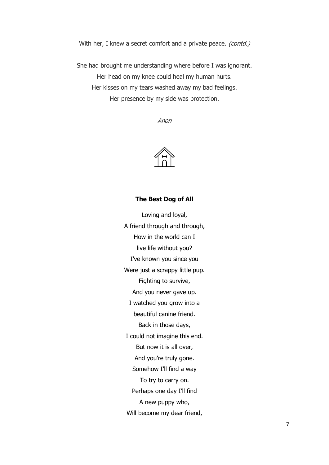With her, I knew a secret comfort and a private peace. *(contd.)* 

She had brought me understanding where before I was ignorant. Her head on my knee could heal my human hurts. Her kisses on my tears washed away my bad feelings. Her presence by my side was protection.

Anon



#### **The Best Dog of All**

Loving and loyal, A friend through and through, How in the world can I live life without you? I've known you since you Were just a scrappy little pup. Fighting to survive, And you never gave up. I watched you grow into a beautiful canine friend. Back in those days, I could not imagine this end. But now it is all over, And you're truly gone. Somehow I'll find a way To try to carry on. Perhaps one day I'll find A new puppy who, Will become my dear friend,